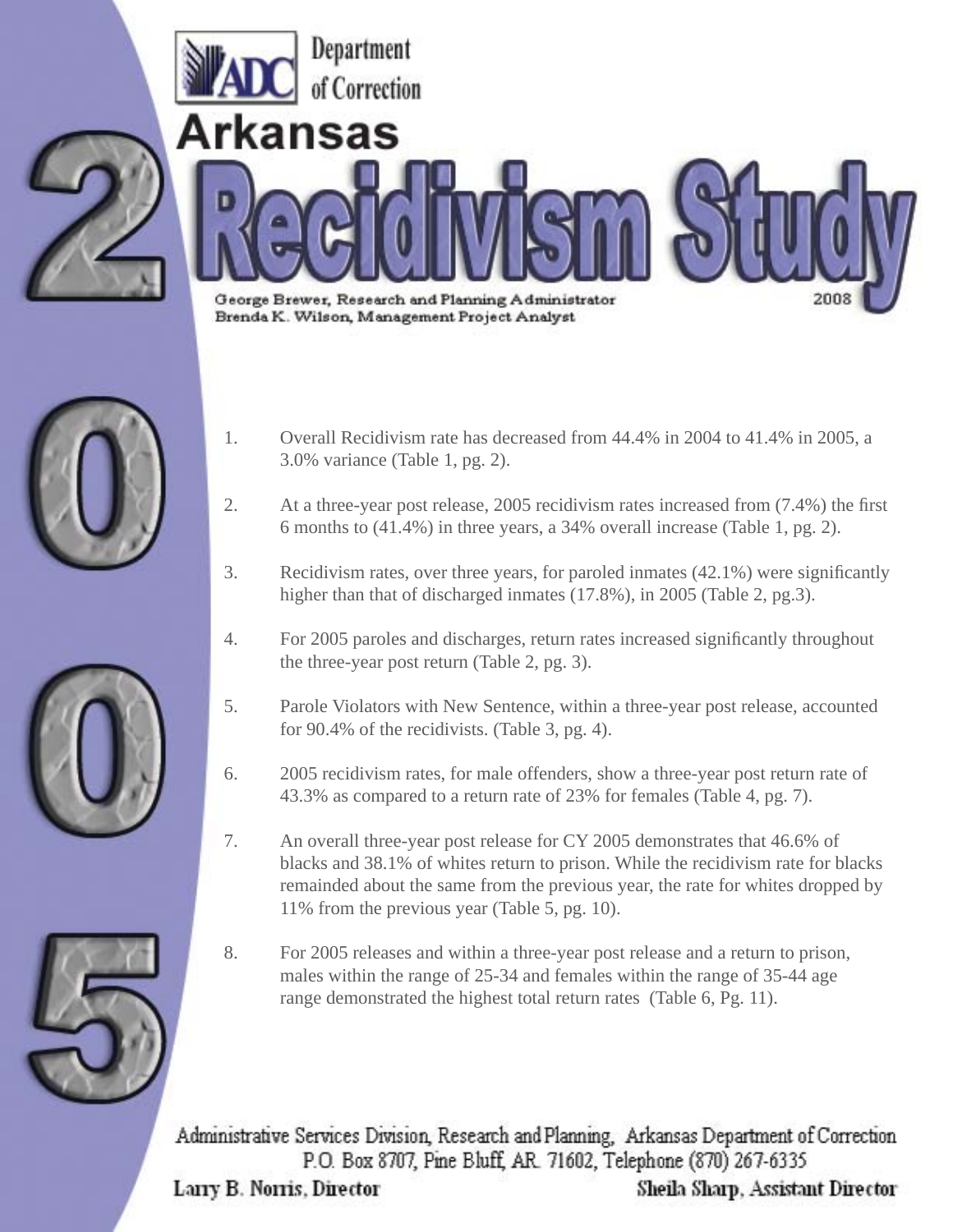

- 
- 1. Overall Recidivism rate has decreased from 44.4% in 2004 to 41.4% in 2005, a 3.0% variance (Table 1, pg. 2).
- 2. At a three-year post release, 2005 recidivism rates increased from (7.4%) the first 6 months to (41.4%) in three years, a 34% overall increase (Table 1, pg. 2).
- 3. Recidivism rates, over three years, for paroled inmates (42.1%) were significantly higher than that of discharged inmates (17.8%), in 2005 (Table 2, pg.3).
- 4. For 2005 paroles and discharges, return rates increased significantly throughout the three-year post return (Table 2, pg. 3).
- 5. Parole Violators with New Sentence, within a three-year post release, accounted for 90.4% of the recidivists. (Table 3, pg. 4).
- 6. 2005 recidivism rates, for male offenders, show a three-year post return rate of 43.3% as compared to a return rate of 23% for females (Table 4, pg. 7).
- 7. An overall three-year post release for CY 2005 demonstrates that 46.6% of blacks and 38.1% of whites return to prison. While the recidivism rate for blacks remainded about the same from the previous year, the rate for whites dropped by 11% from the previous year (Table 5, pg. 10).
- 8. For 2005 releases and within a three-year post release and a return to prison, males within the range of 25-34 and females within the range of 35-44 age range demonstrated the highest total return rates (Table 6, Pg. 11).

Administrative Services Division, Research and Planning, Arkansas Department of Correction P.O. Box 8707, Pine Bluff, AR. 71602, Telephone (870) 267-6335

Larry B. Norris, Director

Sheila Sharp, Assistant Director



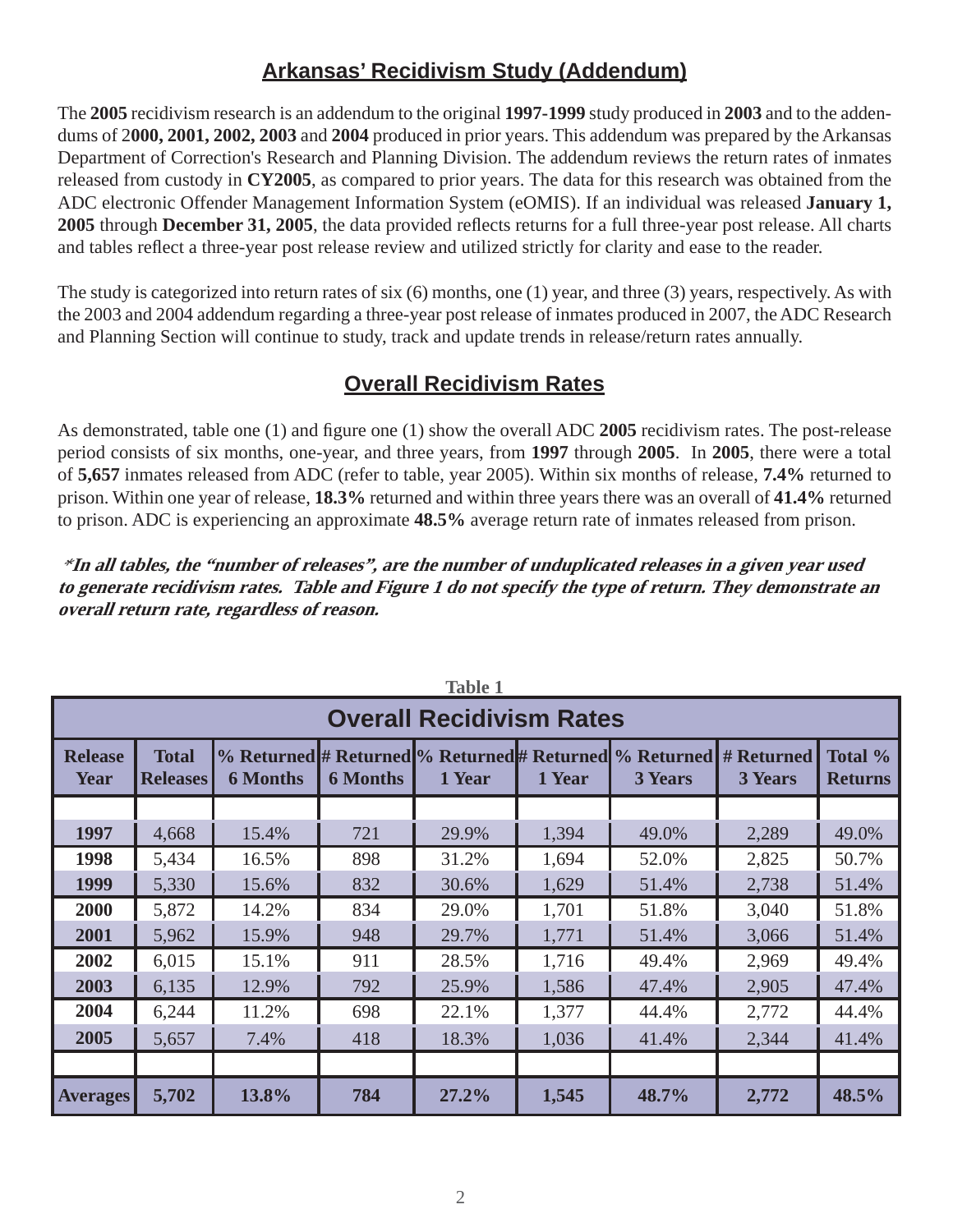# **Arkansas' Recidivism Study (Addendum)**

The **2005** recidivism research is an addendum to the original **1997-1999** study produced in **2003** and to the addendums of 2**000, 2001, 2002, 2003** and **2004** produced in prior years. This addendum was prepared by the Arkansas Department of Correction's Research and Planning Division. The addendum reviews the return rates of inmates released from custody in **CY2005**, as compared to prior years. The data for this research was obtained from the ADC electronic Offender Management Information System (eOMIS). If an individual was released **January 1, 2005** through **December 31, 2005**, the data provided reflects returns for a full three-year post release. All charts and tables reflect a three-year post release review and utilized strictly for clarity and ease to the reader.

The study is categorized into return rates of six (6) months, one (1) year, and three (3) years, respectively. As with the 2003 and 2004 addendum regarding a three-year post release of inmates produced in 2007, the ADC Research and Planning Section will continue to study, track and update trends in release/return rates annually.

## **Overall Recidivism Rates**

As demonstrated, table one (1) and figure one (1) show the overall ADC 2005 recidivism rates. The post-release period consists of six months, one-year, and three years, from **1997** through **2005**. In **2005**, there were a total of **5,657** inmates released from ADC (refer to table, year 2005). Within six months of release, **7.4%** returned to prison. Within one year of release, **18.3%** returned and within three years there was an overall of **41.4%** returned to prison. ADC is experiencing an approximate **48.5%** average return rate of inmates released from prison.

\* **In all tables, the "number of releases", are the number of unduplicated releases in a given year used to generate recidivism rates. Table and Figure 1 do not specify the type of return. They demonstrate an overall return rate, regardless of reason.** 

|                        | <b>Table 1</b><br><b>Overall Recidivism Rates</b> |                 |                 |        |        |                                                                                     |                |                           |  |  |
|------------------------|---------------------------------------------------|-----------------|-----------------|--------|--------|-------------------------------------------------------------------------------------|----------------|---------------------------|--|--|
| <b>Release</b><br>Year | <b>Total</b><br><b>Releases</b>                   | <b>6 Months</b> | <b>6 Months</b> | 1 Year | 1 Year | % Returned # Returned % Returned # Returned % Returned # Returned<br><b>3 Years</b> | <b>3 Years</b> | Total %<br><b>Returns</b> |  |  |
|                        |                                                   |                 |                 |        |        |                                                                                     |                |                           |  |  |
| 1997                   | 4,668                                             | 15.4%           | 721             | 29.9%  | 1,394  | 49.0%                                                                               | 2,289          | 49.0%                     |  |  |
| 1998                   | 5,434                                             | 16.5%           | 898             | 31.2%  | 1,694  | 52.0%                                                                               | 2,825          | 50.7%                     |  |  |
| 1999                   | 5,330                                             | 15.6%           | 832             | 30.6%  | 1,629  | 51.4%                                                                               | 2,738          | 51.4%                     |  |  |
| 2000                   | 5,872                                             | 14.2%           | 834             | 29.0%  | 1,701  | 51.8%                                                                               | 3,040          | 51.8%                     |  |  |
| 2001                   | 5,962                                             | 15.9%           | 948             | 29.7%  | 1,771  | 51.4%                                                                               | 3,066          | 51.4%                     |  |  |
| 2002                   | 6,015                                             | 15.1%           | 911             | 28.5%  | 1,716  | 49.4%                                                                               | 2,969          | 49.4%                     |  |  |
| 2003                   | 6,135                                             | 12.9%           | 792             | 25.9%  | 1,586  | 47.4%                                                                               | 2,905          | 47.4%                     |  |  |
| 2004                   | 6,244                                             | 11.2%           | 698             | 22.1%  | 1,377  | 44.4%                                                                               | 2,772          | 44.4%                     |  |  |
| 2005                   | 5,657                                             | 7.4%            | 418             | 18.3%  | 1,036  | 41.4%                                                                               | 2,344          | 41.4%                     |  |  |
|                        |                                                   |                 |                 |        |        |                                                                                     |                |                           |  |  |
| <b>Averages</b>        | 5,702                                             | 13.8%           | 784             | 27.2%  | 1,545  | 48.7%                                                                               | 2,772          | 48.5%                     |  |  |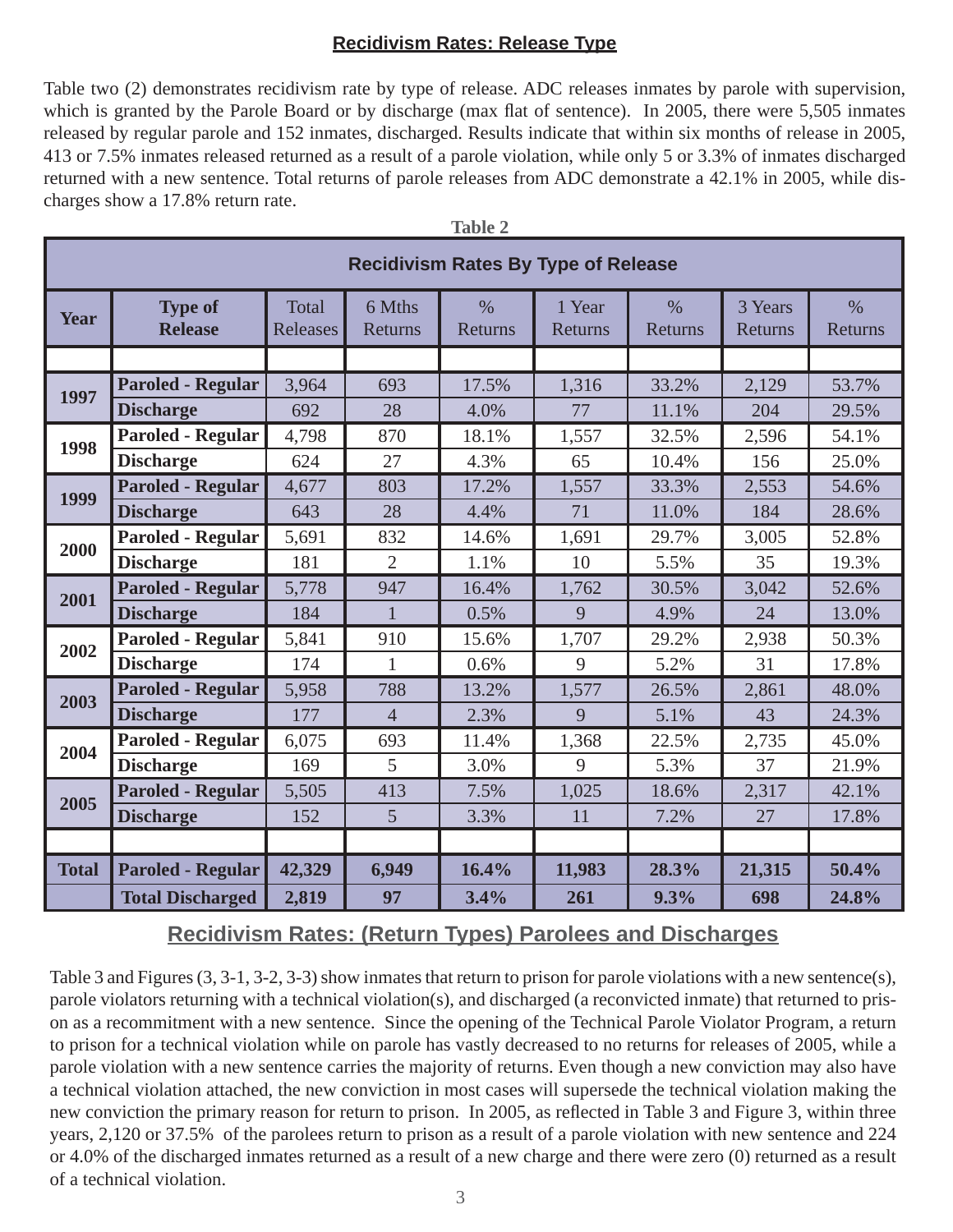#### **Recidivism Rates: Release Type**

Table two (2) demonstrates recidivism rate by type of release. ADC releases inmates by parole with supervision, which is granted by the Parole Board or by discharge (max flat of sentence). In 2005, there were 5,505 inmates released by regular parole and 152 inmates, discharged. Results indicate that within six months of release in 2005, 413 or 7.5% inmates released returned as a result of a parole violation, while only 5 or 3.3% of inmates discharged returned with a new sentence. Total returns of parole releases from ADC demonstrate a 42.1% in 2005, while discharges show a 17.8% return rate.

| <b>Recidivism Rates By Type of Release</b> |                                  |                   |                   |                          |                   |                          |                    |                          |
|--------------------------------------------|----------------------------------|-------------------|-------------------|--------------------------|-------------------|--------------------------|--------------------|--------------------------|
| <b>Year</b>                                | <b>Type of</b><br><b>Release</b> | Total<br>Releases | 6 Mths<br>Returns | $\frac{0}{0}$<br>Returns | 1 Year<br>Returns | $\frac{0}{0}$<br>Returns | 3 Years<br>Returns | $\frac{0}{0}$<br>Returns |
|                                            |                                  |                   |                   |                          |                   |                          |                    |                          |
| 1997                                       | <b>Paroled - Regular</b>         | 3,964             | 693               | 17.5%                    | 1,316             | 33.2%                    | 2,129              | 53.7%                    |
|                                            | <b>Discharge</b>                 | 692               | 28                | 4.0%                     | 77                | 11.1%                    | 204                | 29.5%                    |
| 1998                                       | <b>Paroled - Regular</b>         | 4,798             | 870               | 18.1%                    | 1,557             | 32.5%                    | 2,596              | 54.1%                    |
|                                            | <b>Discharge</b>                 | 624               | 27                | 4.3%                     | 65                | 10.4%                    | 156                | 25.0%                    |
| 1999                                       | <b>Paroled - Regular</b>         | 4,677             | 803               | 17.2%                    | 1,557             | 33.3%                    | 2,553              | 54.6%                    |
|                                            | <b>Discharge</b>                 | 643               | 28                | 4.4%                     | 71                | 11.0%                    | 184                | 28.6%                    |
| 2000                                       | <b>Paroled - Regular</b>         | 5,691             | 832               | 14.6%                    | 1,691             | 29.7%                    | 3,005              | 52.8%                    |
|                                            | <b>Discharge</b>                 | 181               | $\overline{2}$    | 1.1%                     | 10                | 5.5%                     | 35                 | 19.3%                    |
| 2001                                       | <b>Paroled - Regular</b>         | 5,778             | 947               | 16.4%                    | 1,762             | 30.5%                    | 3,042              | 52.6%                    |
|                                            | <b>Discharge</b>                 | 184               | $\mathbf{1}$      | 0.5%                     | 9                 | 4.9%                     | 24                 | 13.0%                    |
| 2002                                       | <b>Paroled - Regular</b>         | 5,841             | 910               | 15.6%                    | 1,707             | 29.2%                    | 2,938              | 50.3%                    |
|                                            | <b>Discharge</b>                 | 174               | $\mathbf{1}$      | 0.6%                     | 9                 | 5.2%                     | 31                 | 17.8%                    |
| 2003                                       | <b>Paroled - Regular</b>         | 5,958             | 788               | 13.2%                    | 1,577             | 26.5%                    | 2,861              | 48.0%                    |
|                                            | <b>Discharge</b>                 | 177               | $\overline{4}$    | 2.3%                     | 9                 | 5.1%                     | 43                 | 24.3%                    |
| 2004                                       | <b>Paroled - Regular</b>         | 6,075             | 693               | 11.4%                    | 1,368             | 22.5%                    | 2,735              | 45.0%                    |
|                                            | <b>Discharge</b>                 | 169               | 5                 | 3.0%                     | 9                 | 5.3%                     | 37                 | 21.9%                    |
| 2005                                       | <b>Paroled - Regular</b>         | 5,505             | 413               | 7.5%                     | 1,025             | 18.6%                    | 2,317              | 42.1%                    |
|                                            | <b>Discharge</b>                 | 152               | 5                 | 3.3%                     | 11                | 7.2%                     | 27                 | 17.8%                    |
|                                            |                                  |                   |                   |                          |                   |                          |                    |                          |
| <b>Total</b>                               | <b>Paroled - Regular</b>         | 42,329            | 6,949             | 16.4%                    | 11,983            | 28.3%                    | 21,315             | 50.4%                    |
|                                            | <b>Total Discharged</b>          | 2,819             | 97                | 3.4%                     | 261               | 9.3%                     | 698                | 24.8%                    |

| v |  |
|---|--|
|---|--|

## **Recidivism Rates: (Return Types) Parolees and Discharges**

Table 3 and Figures (3, 3-1, 3-2, 3-3) show inmates that return to prison for parole violations with a new sentence(s), parole violators returning with a technical violation(s), and discharged (a reconvicted inmate) that returned to prison as a recommitment with a new sentence. Since the opening of the Technical Parole Violator Program, a return to prison for a technical violation while on parole has vastly decreased to no returns for releases of 2005, while a parole violation with a new sentence carries the majority of returns. Even though a new conviction may also have a technical violation attached, the new conviction in most cases will supersede the technical violation making the new conviction the primary reason for return to prison. In 2005, as reflected in Table 3 and Figure 3, within three years, 2,120 or 37.5% of the parolees return to prison as a result of a parole violation with new sentence and 224 or 4.0% of the discharged inmates returned as a result of a new charge and there were zero (0) returned as a result of a technical violation.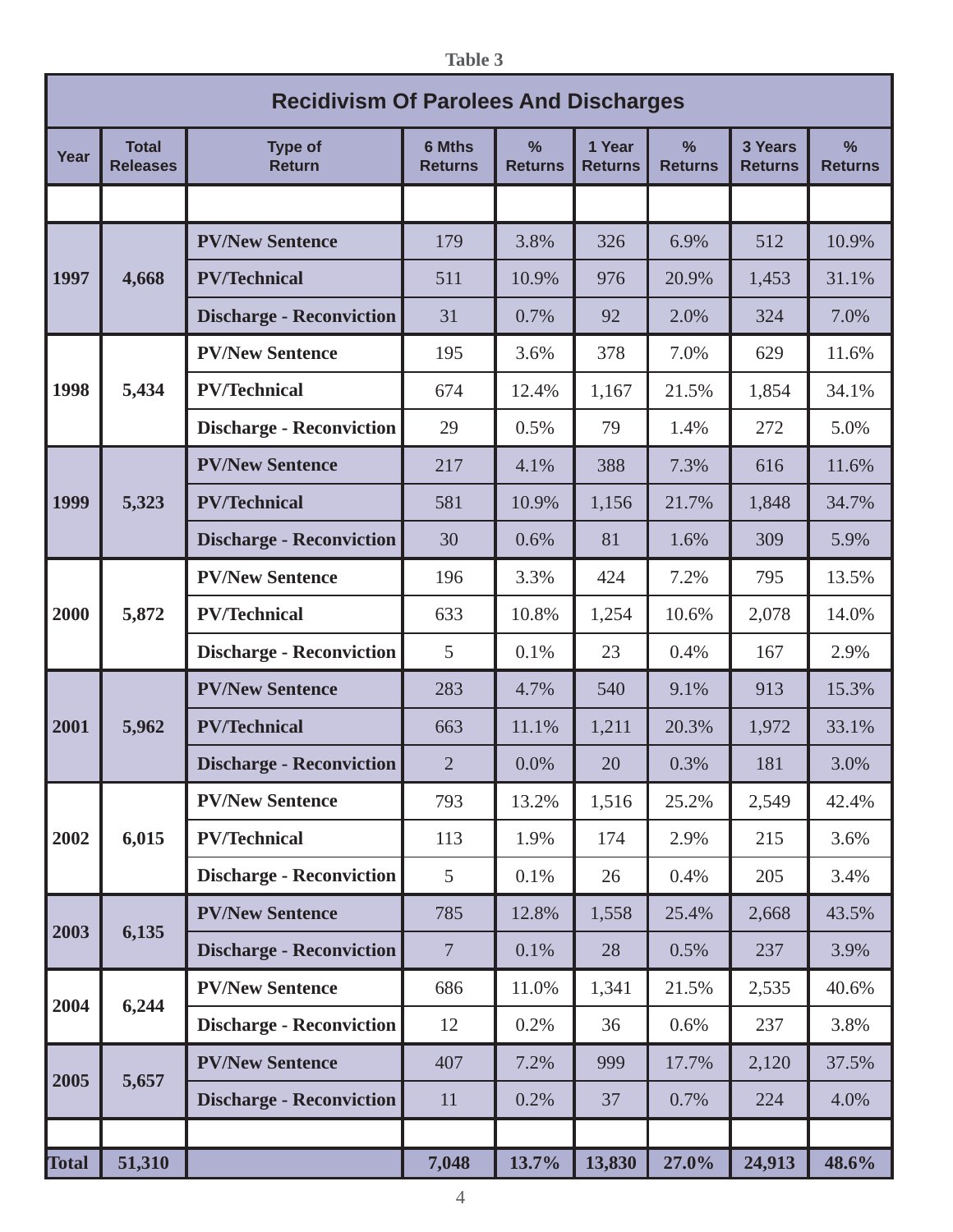**Table 3**

|              | <b>Recidivism Of Parolees And Discharges</b> |                                 |                                 |                                 |                          |                     |                           |                                 |
|--------------|----------------------------------------------|---------------------------------|---------------------------------|---------------------------------|--------------------------|---------------------|---------------------------|---------------------------------|
| Year         | <b>Total</b><br><b>Releases</b>              | <b>Type of</b><br><b>Return</b> | <b>6 Mths</b><br><b>Returns</b> | $\frac{9}{6}$<br><b>Returns</b> | 1 Year<br><b>Returns</b> | %<br><b>Returns</b> | 3 Years<br><b>Returns</b> | $\frac{9}{6}$<br><b>Returns</b> |
|              |                                              |                                 |                                 |                                 |                          |                     |                           |                                 |
|              |                                              | <b>PV/New Sentence</b>          | 179                             | 3.8%                            | 326                      | 6.9%                | 512                       | 10.9%                           |
| 1997         | 4,668                                        | <b>PV/Technical</b>             | 511                             | 10.9%                           | 976                      | 20.9%               | 1,453                     | 31.1%                           |
|              |                                              | <b>Discharge - Reconviction</b> | 31                              | 0.7%                            | 92                       | 2.0%                | 324                       | 7.0%                            |
|              |                                              | <b>PV/New Sentence</b>          | 195                             | 3.6%                            | 378                      | 7.0%                | 629                       | 11.6%                           |
| 1998         | 5,434                                        | <b>PV/Technical</b>             | 674                             | 12.4%                           | 1,167                    | 21.5%               | 1,854                     | 34.1%                           |
|              |                                              | <b>Discharge - Reconviction</b> | 29                              | 0.5%                            | 79                       | 1.4%                | 272                       | 5.0%                            |
|              |                                              | <b>PV/New Sentence</b>          | 217                             | 4.1%                            | 388                      | 7.3%                | 616                       | 11.6%                           |
| 1999         | 5,323                                        | <b>PV/Technical</b>             | 581                             | 10.9%                           | 1,156                    | 21.7%               | 1,848                     | 34.7%                           |
|              |                                              | <b>Discharge - Reconviction</b> | 30                              | 0.6%                            | 81                       | 1.6%                | 309                       | 5.9%                            |
|              |                                              | <b>PV/New Sentence</b>          | 196                             | 3.3%                            | 424                      | 7.2%                | 795                       | 13.5%                           |
| 2000         | 5,872                                        | <b>PV/Technical</b>             | 633                             | 10.8%                           | 1,254                    | 10.6%               | 2,078                     | 14.0%                           |
|              |                                              | <b>Discharge - Reconviction</b> | 5                               | 0.1%                            | 23                       | 0.4%                | 167                       | 2.9%                            |
|              |                                              | <b>PV/New Sentence</b>          | 283                             | 4.7%                            | 540                      | 9.1%                | 913                       | 15.3%                           |
| 2001         | 5,962                                        | <b>PV/Technical</b>             | 663                             | 11.1%                           | 1,211                    | 20.3%               | 1,972                     | 33.1%                           |
|              |                                              | <b>Discharge - Reconviction</b> | $\overline{2}$                  | 0.0%                            | 20                       | 0.3%                | 181                       | 3.0%                            |
|              |                                              | <b>PV/New Sentence</b>          | 793                             | 13.2%                           | 1,516                    | 25.2%               | 2,549                     | 42.4%                           |
| 2002         | 6,015                                        | <b>PV/Technical</b>             | 113                             | 1.9%                            | 174                      | 2.9%                | 215                       | 3.6%                            |
|              |                                              | <b>Discharge - Reconviction</b> | 5 <sup>5</sup>                  | 0.1%                            | 26                       | 0.4%                | 205                       | 3.4%                            |
|              |                                              | <b>PV/New Sentence</b>          | 785                             | 12.8%                           | 1,558                    | 25.4%               | 2,668                     | 43.5%                           |
| 2003         | 6,135                                        | <b>Discharge - Reconviction</b> | $7\phantom{.0}$                 | 0.1%                            | 28                       | 0.5%                | 237                       | 3.9%                            |
|              |                                              | <b>PV/New Sentence</b>          | 686                             | 11.0%                           | 1,341                    | 21.5%               | 2,535                     | 40.6%                           |
| 2004         | 6,244                                        | <b>Discharge - Reconviction</b> | 12                              | 0.2%                            | 36                       | 0.6%                | 237                       | 3.8%                            |
|              |                                              | <b>PV/New Sentence</b>          | 407                             | 7.2%                            | 999                      | 17.7%               | 2,120                     | 37.5%                           |
| 2005         | 5,657                                        | <b>Discharge - Reconviction</b> | 11                              | 0.2%                            | 37                       | 0.7%                | 224                       | 4.0%                            |
|              |                                              |                                 |                                 |                                 |                          |                     |                           |                                 |
| <b>Total</b> | 51,310                                       |                                 | 7,048                           | 13.7%                           | 13,830                   | 27.0%               | 24,913                    | 48.6%                           |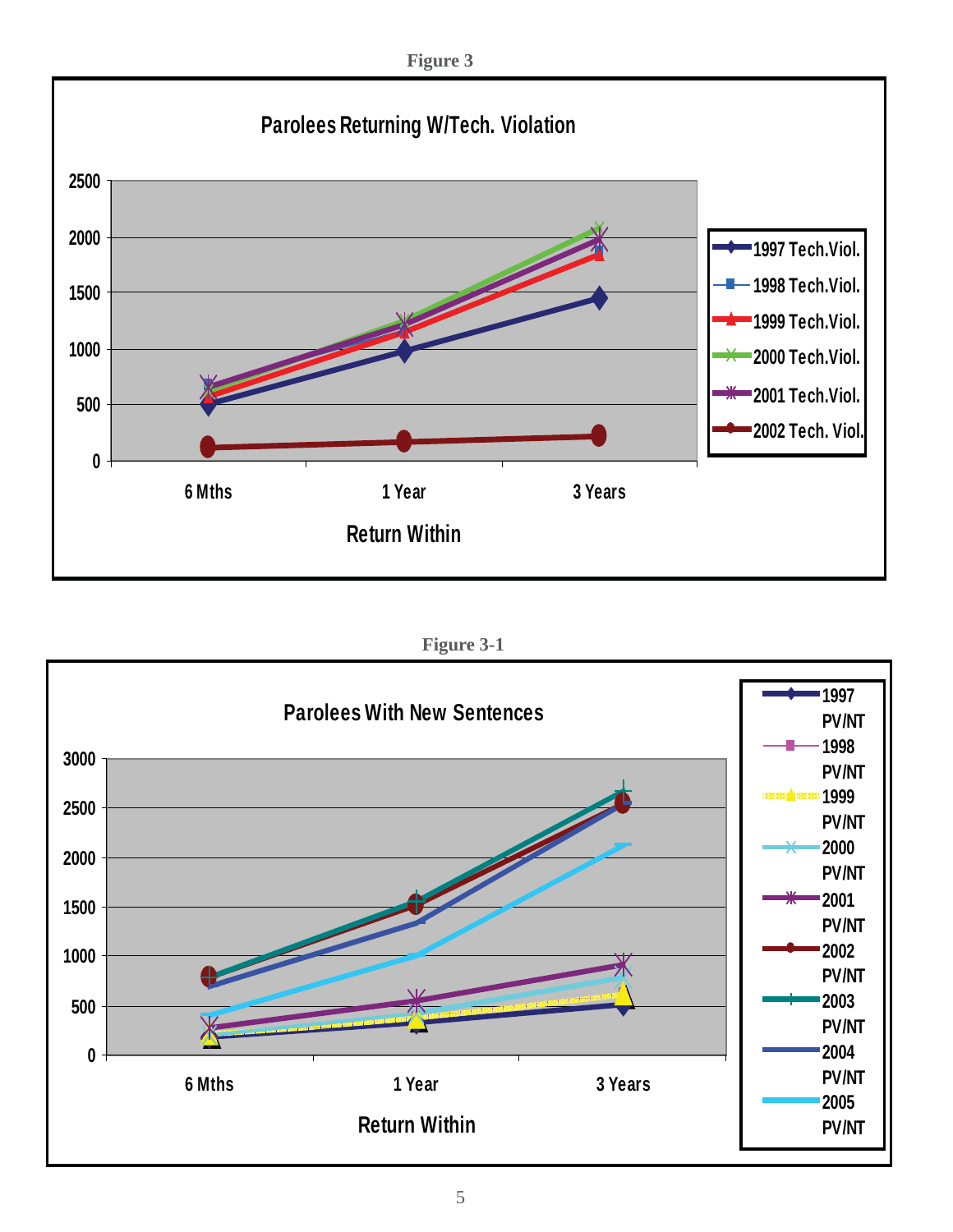**Figure 3**



**Figure 3-1**

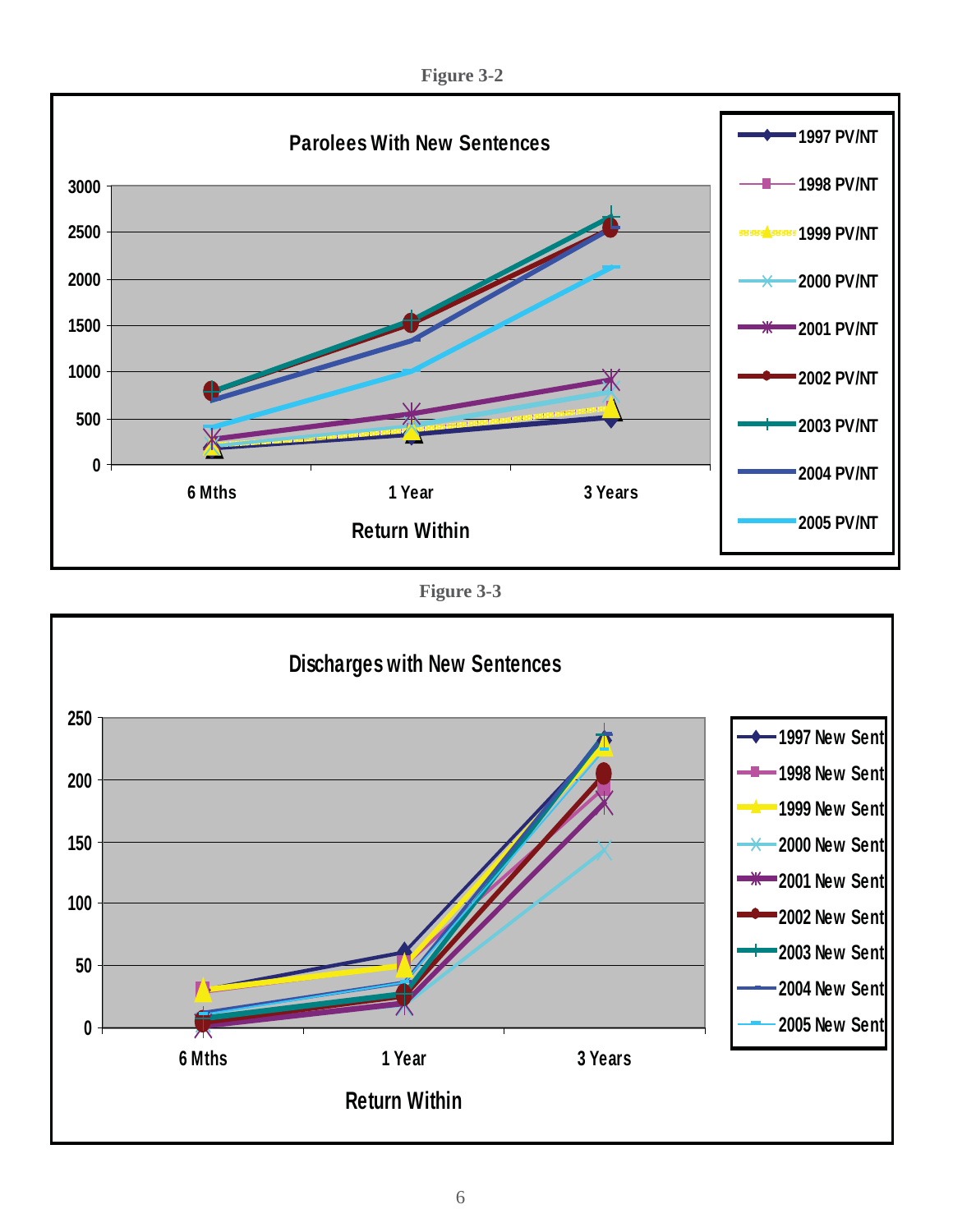**Figure 3-2**



**Figure 3-3**

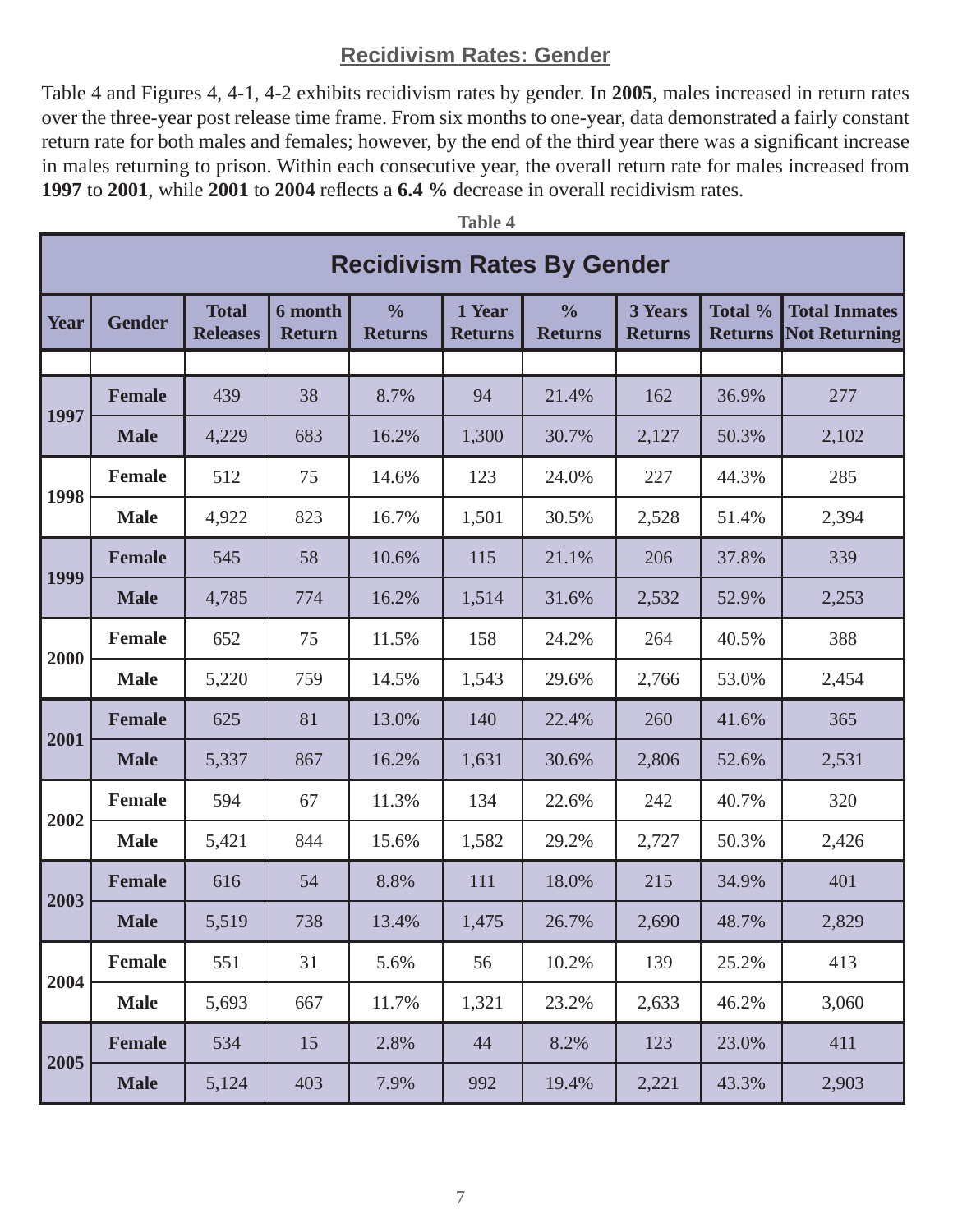## **Recidivism Rates: Gender**

Table 4 and Figures 4, 4-1, 4-2 exhibits recidivism rates by gender. In **2005**, males increased in return rates over the three-year post release time frame. From six months to one-year, data demonstrated a fairly constant return rate for both males and females; however, by the end of the third year there was a significant increase in males returning to prison. Within each consecutive year, the overall return rate for males increased from **1997** to 2001, while 2001 to 2004 reflects a 6.4 % decrease in overall recidivism rates.

**Table 4**

|      | Tanic 4<br><b>Recidivism Rates By Gender</b> |                                 |                                 |                                 |                          |                                 |                                  |                           |                                              |  |
|------|----------------------------------------------|---------------------------------|---------------------------------|---------------------------------|--------------------------|---------------------------------|----------------------------------|---------------------------|----------------------------------------------|--|
| Year | <b>Gender</b>                                | <b>Total</b><br><b>Releases</b> | <b>6</b> month<br><b>Return</b> | $\frac{0}{0}$<br><b>Returns</b> | 1 Year<br><b>Returns</b> | $\frac{0}{0}$<br><b>Returns</b> | <b>3 Years</b><br><b>Returns</b> | Total %<br><b>Returns</b> | <b>Total Inmates</b><br><b>Not Returning</b> |  |
|      |                                              |                                 |                                 |                                 |                          |                                 |                                  |                           |                                              |  |
| 1997 | <b>Female</b>                                | 439                             | 38                              | 8.7%                            | 94                       | 21.4%                           | 162                              | 36.9%                     | 277                                          |  |
|      | <b>Male</b>                                  | 4,229                           | 683                             | 16.2%                           | 1,300                    | 30.7%                           | 2,127                            | 50.3%                     | 2,102                                        |  |
| 1998 | <b>Female</b>                                | 512                             | 75                              | 14.6%                           | 123                      | 24.0%                           | 227                              | 44.3%                     | 285                                          |  |
|      | <b>Male</b>                                  | 4,922                           | 823                             | 16.7%                           | 1,501                    | 30.5%                           | 2,528                            | 51.4%                     | 2,394                                        |  |
|      | <b>Female</b>                                | 545                             | 58                              | 10.6%                           | 115                      | 21.1%                           | 206                              | 37.8%                     | 339                                          |  |
| 1999 | <b>Male</b>                                  | 4,785                           | 774                             | 16.2%                           | 1,514                    | 31.6%                           | 2,532                            | 52.9%                     | 2,253                                        |  |
|      | <b>Female</b>                                | 652                             | 75                              | 11.5%                           | 158                      | 24.2%                           | 264                              | 40.5%                     | 388                                          |  |
| 2000 | <b>Male</b>                                  | 5,220                           | 759                             | 14.5%                           | 1,543                    | 29.6%                           | 2,766                            | 53.0%                     | 2,454                                        |  |
|      | <b>Female</b>                                | 625                             | 81                              | 13.0%                           | 140                      | 22.4%                           | 260                              | 41.6%                     | 365                                          |  |
| 2001 | <b>Male</b>                                  | 5,337                           | 867                             | 16.2%                           | 1,631                    | 30.6%                           | 2,806                            | 52.6%                     | 2,531                                        |  |
|      | <b>Female</b>                                | 594                             | 67                              | 11.3%                           | 134                      | 22.6%                           | 242                              | 40.7%                     | 320                                          |  |
| 2002 | <b>Male</b>                                  | 5,421                           | 844                             | 15.6%                           | 1,582                    | 29.2%                           | 2,727                            | 50.3%                     | 2,426                                        |  |
|      | <b>Female</b>                                | 616                             | 54                              | 8.8%                            | 111                      | 18.0%                           | 215                              | 34.9%                     | 401                                          |  |
| 2003 | <b>Male</b>                                  | 5,519                           | 738                             | 13.4%                           | 1,475                    | 26.7%                           | 2,690                            | 48.7%                     | 2,829                                        |  |
|      | Female                                       | 551                             | 31                              | 5.6%                            | 56                       | 10.2%                           | 139                              | 25.2%                     | 413                                          |  |
| 2004 | <b>Male</b>                                  | 5,693                           | 667                             | 11.7%                           | 1,321                    | 23.2%                           | 2,633                            | 46.2%                     | 3,060                                        |  |
|      | <b>Female</b>                                | 534                             | 15                              | 2.8%                            | 44                       | 8.2%                            | 123                              | 23.0%                     | 411                                          |  |
| 2005 | <b>Male</b>                                  | 5,124                           | 403                             | 7.9%                            | 992                      | 19.4%                           | 2,221                            | 43.3%                     | 2,903                                        |  |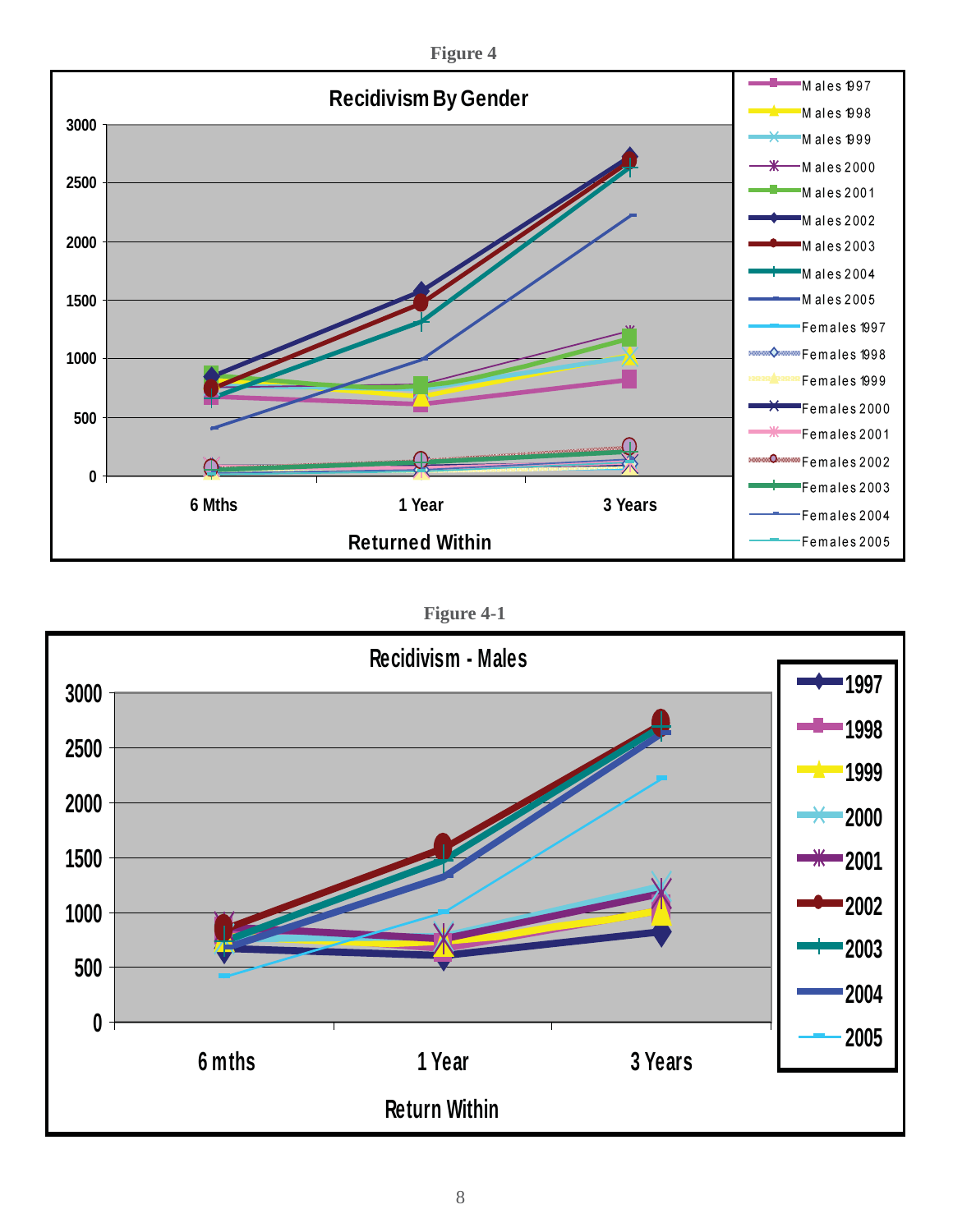

**Figure 4-1**

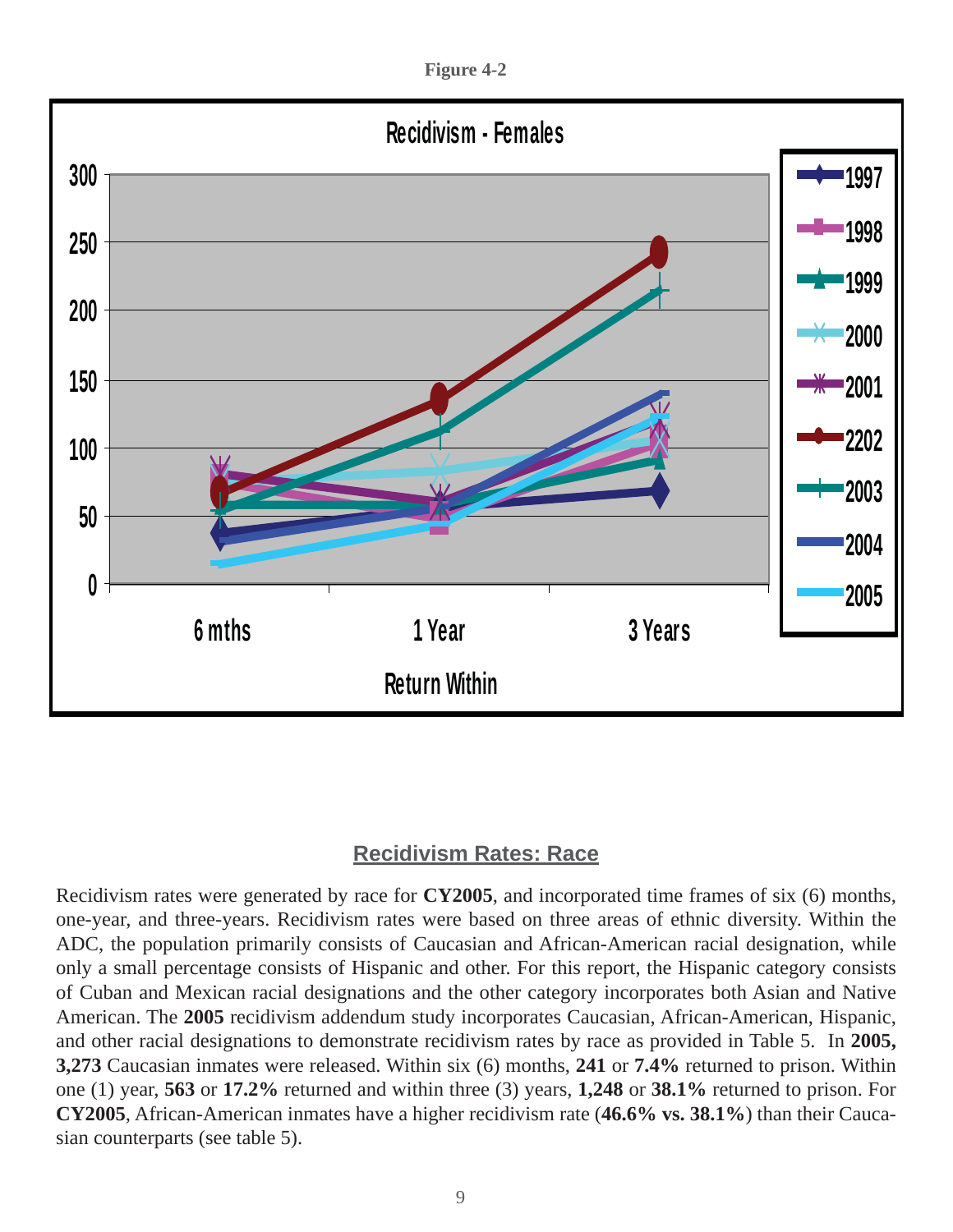**Figure 4-2**



#### **Recidivism Rates: Race**

Recidivism rates were generated by race for **CY2005**, and incorporated time frames of six (6) months, one-year, and three-years. Recidivism rates were based on three areas of ethnic diversity. Within the ADC, the population primarily consists of Caucasian and African-American racial designation, while only a small percentage consists of Hispanic and other. For this report, the Hispanic category consists of Cuban and Mexican racial designations and the other category incorporates both Asian and Native American. The **2005** recidivism addendum study incorporates Caucasian, African-American, Hispanic, and other racial designations to demonstrate recidivism rates by race as provided in Table 5. In **2005, 3,273** Caucasian inmates were released. Within six (6) months, **241** or **7.4%** returned to prison. Within one (1) year, **563** or **17.2%** returned and within three (3) years, **1,248** or **38.1%** returned to prison. For **CY2005**, African-American inmates have a higher recidivism rate (**46.6% vs. 38.1%**) than their Caucasian counterparts (see table 5).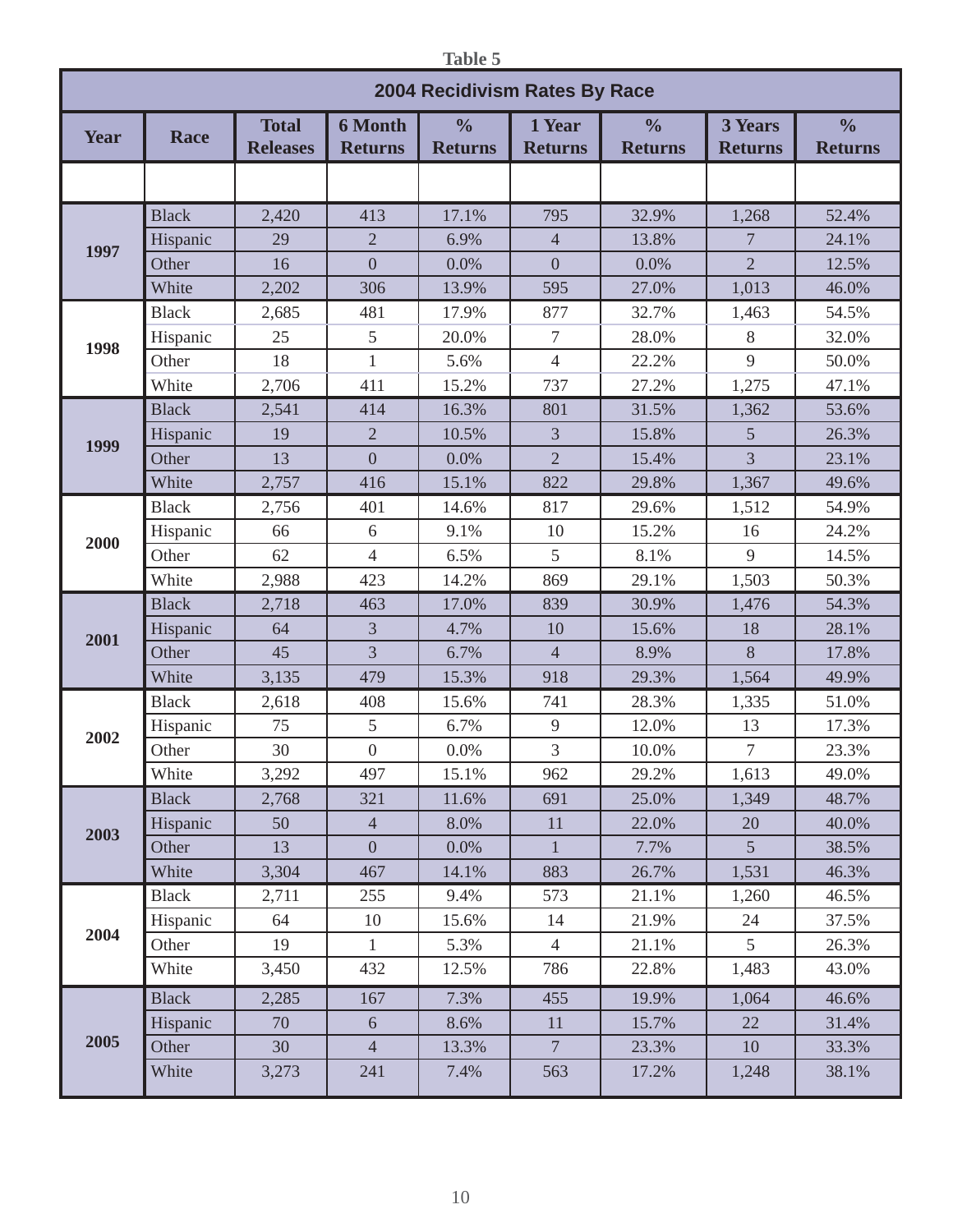| <br>۰,<br>× | ٠ |
|-------------|---|
|             |   |

|      | 2004 Recidivism Rates By Race |                                 |                                  |                                 |                          |                                 |                                  |                                 |  |
|------|-------------------------------|---------------------------------|----------------------------------|---------------------------------|--------------------------|---------------------------------|----------------------------------|---------------------------------|--|
| Year | Race                          | <b>Total</b><br><b>Releases</b> | <b>6 Month</b><br><b>Returns</b> | $\frac{0}{0}$<br><b>Returns</b> | 1 Year<br><b>Returns</b> | $\frac{0}{0}$<br><b>Returns</b> | <b>3 Years</b><br><b>Returns</b> | $\frac{0}{0}$<br><b>Returns</b> |  |
|      |                               |                                 |                                  |                                 |                          |                                 |                                  |                                 |  |
|      | <b>Black</b>                  | 2,420                           | 413                              | 17.1%                           | 795                      | 32.9%                           | 1,268                            | 52.4%                           |  |
| 1997 | Hispanic                      | 29                              | $\overline{2}$                   | 6.9%                            | $\overline{4}$           | 13.8%                           | 7                                | 24.1%                           |  |
|      | Other                         | 16                              | $\overline{0}$                   | 0.0%                            | $\overline{0}$           | 0.0%                            | $\overline{2}$                   | 12.5%                           |  |
|      | White                         | 2,202                           | 306                              | 13.9%                           | 595                      | 27.0%                           | 1,013                            | 46.0%                           |  |
|      | <b>Black</b>                  | 2,685                           | 481                              | 17.9%                           | 877                      | 32.7%                           | 1,463                            | 54.5%                           |  |
| 1998 | Hispanic                      | 25                              | 5                                | 20.0%                           | $\overline{7}$           | 28.0%                           | 8                                | 32.0%                           |  |
|      | Other                         | 18                              | $\mathbf{1}$                     | 5.6%                            | $\overline{4}$           | 22.2%                           | 9                                | 50.0%                           |  |
|      | White                         | 2,706                           | 411                              | 15.2%                           | 737                      | 27.2%                           | 1,275                            | 47.1%                           |  |
|      | <b>Black</b>                  | 2,541                           | 414                              | 16.3%                           | 801                      | 31.5%                           | 1,362                            | 53.6%                           |  |
|      | Hispanic                      | 19                              | $\sqrt{2}$                       | 10.5%                           | 3                        | 15.8%                           | 5                                | 26.3%                           |  |
| 1999 | Other                         | 13                              | $\overline{0}$                   | 0.0%                            | $\overline{2}$           | 15.4%                           | $\overline{3}$                   | 23.1%                           |  |
|      | White                         | 2,757                           | 416                              | 15.1%                           | 822                      | 29.8%                           | 1,367                            | 49.6%                           |  |
|      | <b>Black</b>                  | 2,756                           | 401                              | 14.6%                           | 817                      | 29.6%                           | 1,512                            | 54.9%                           |  |
|      | Hispanic                      | 66                              | 6                                | 9.1%                            | 10                       | 15.2%                           | 16                               | 24.2%                           |  |
| 2000 | Other                         | 62                              | $\overline{4}$                   | 6.5%                            | 5                        | 8.1%                            | 9                                | 14.5%                           |  |
|      | White                         | 2,988                           | 423                              | 14.2%                           | 869                      | 29.1%                           | 1,503                            | 50.3%                           |  |
|      | <b>Black</b>                  | 2,718                           | 463                              | 17.0%                           | 839                      | 30.9%                           | 1,476                            | 54.3%                           |  |
|      | Hispanic                      | 64                              | $\overline{3}$                   | 4.7%                            | 10                       | 15.6%                           | 18                               | 28.1%                           |  |
| 2001 | Other                         | 45                              | $\overline{3}$                   | 6.7%                            | $\overline{4}$           | 8.9%                            | 8                                | 17.8%                           |  |
|      | White                         | 3,135                           | 479                              | 15.3%                           | 918                      | 29.3%                           | 1,564                            | 49.9%                           |  |
|      | <b>Black</b>                  | 2,618                           | 408                              | 15.6%                           | 741                      | 28.3%                           | 1,335                            | 51.0%                           |  |
|      | Hispanic                      | 75                              | $5\overline{)}$                  | 6.7%                            | 9                        | 12.0%                           | 13                               | 17.3%                           |  |
| 2002 | Other                         | 30                              | $\boldsymbol{0}$                 | 0.0%                            | 3                        | 10.0%                           | $\overline{7}$                   | 23.3%                           |  |
|      | White                         | 3,292                           | 497                              | 15.1%                           | 962                      | 29.2%                           | 1,613                            | 49.0%                           |  |
|      | <b>Black</b>                  | 2,768                           | 321                              | 11.6%                           | 691                      | 25.0%                           | 1,349                            | 48.7%                           |  |
|      | Hispanic                      | 50                              | $\overline{4}$                   | 8.0%                            | 11                       | 22.0%                           | 20                               | 40.0%                           |  |
| 2003 | Other                         | 13                              | $\overline{0}$                   | 0.0%                            | $\mathbf{1}$             | 7.7%                            | 5 <sup>1</sup>                   | 38.5%                           |  |
|      | White                         | 3,304                           | 467                              | 14.1%                           | 883                      | 26.7%                           | 1,531                            | 46.3%                           |  |
|      | <b>Black</b>                  | 2,711                           | 255                              | 9.4%                            | 573                      | 21.1%                           | 1,260                            | 46.5%                           |  |
|      | Hispanic                      | 64                              | 10                               | 15.6%                           | 14                       | 21.9%                           | 24                               | 37.5%                           |  |
| 2004 | Other                         | 19                              | $\mathbf{1}$                     | 5.3%                            | $\overline{4}$           | 21.1%                           | 5 <sup>5</sup>                   | 26.3%                           |  |
|      | White                         | 3,450                           | 432                              | 12.5%                           | 786                      | 22.8%                           | 1,483                            | 43.0%                           |  |
|      | <b>Black</b>                  | 2,285                           | 167                              | 7.3%                            | 455                      | 19.9%                           | 1,064                            | 46.6%                           |  |
|      | Hispanic                      | 70                              | 6                                | 8.6%                            | 11                       | 15.7%                           | 22                               | 31.4%                           |  |
| 2005 | Other                         | 30                              | $\overline{4}$                   | 13.3%                           | $7\overline{ }$          | 23.3%                           | 10                               | 33.3%                           |  |
|      | White                         | 3,273                           | 241                              | 7.4%                            | 563                      | 17.2%                           | 1,248                            | 38.1%                           |  |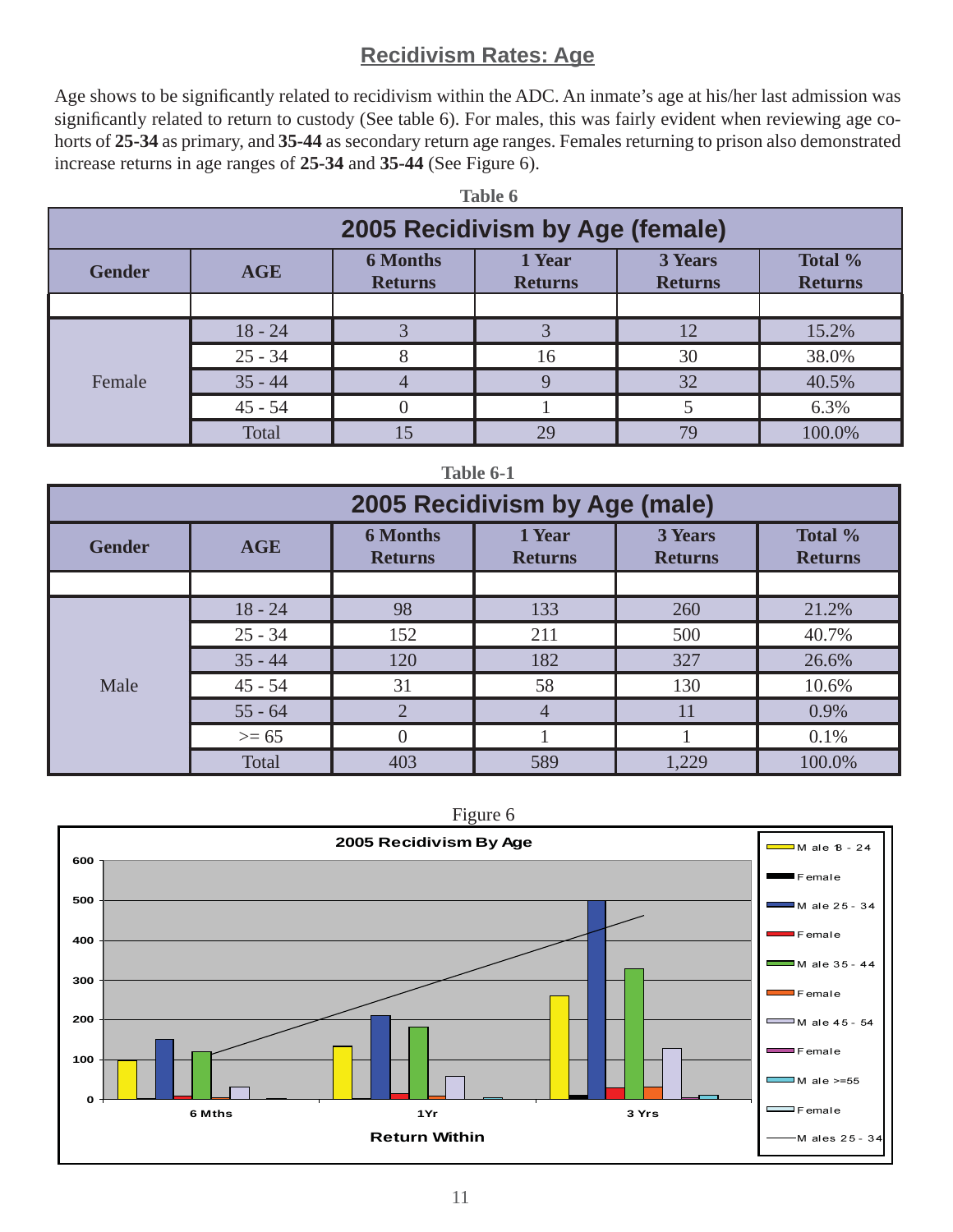## **Recidivism Rates: Age**

Age shows to be significantly related to recidivism within the ADC. An inmate's age at his/her last admission was significantly related to return to custody (See table 6). For males, this was fairly evident when reviewing age cohorts of **25-34** as primary, and **35-44** as secondary return age ranges. Females returning to prison also demonstrated increase returns in age ranges of **25-34** and **35-44** (See Figure 6).

| Table 6                         |                                                                                                                                       |  |    |    |        |  |  |  |
|---------------------------------|---------------------------------------------------------------------------------------------------------------------------------------|--|----|----|--------|--|--|--|
| 2005 Recidivism by Age (female) |                                                                                                                                       |  |    |    |        |  |  |  |
| <b>Gender</b>                   | Total %<br><b>6 Months</b><br>3 Years<br>1 Year<br><b>AGE</b><br><b>Returns</b><br><b>Returns</b><br><b>Returns</b><br><b>Returns</b> |  |    |    |        |  |  |  |
|                                 |                                                                                                                                       |  |    |    |        |  |  |  |
|                                 | $18 - 24$                                                                                                                             |  |    | 12 | 15.2%  |  |  |  |
|                                 | $25 - 34$                                                                                                                             |  | 16 | 30 | 38.0%  |  |  |  |
| Female                          | $35 - 44$                                                                                                                             |  | Q  | 32 | 40.5%  |  |  |  |
|                                 | $45 - 54$                                                                                                                             |  |    |    | 6.3%   |  |  |  |
|                                 | Total                                                                                                                                 |  | 29 | 79 | 100.0% |  |  |  |

| Table 6-1     |                                                                                                                                       |                |                               |       |        |  |  |  |
|---------------|---------------------------------------------------------------------------------------------------------------------------------------|----------------|-------------------------------|-------|--------|--|--|--|
|               |                                                                                                                                       |                | 2005 Recidivism by Age (male) |       |        |  |  |  |
| <b>Gender</b> | Total %<br><b>6 Months</b><br>1 Year<br>3 Years<br><b>AGE</b><br><b>Returns</b><br><b>Returns</b><br><b>Returns</b><br><b>Returns</b> |                |                               |       |        |  |  |  |
|               |                                                                                                                                       |                |                               |       |        |  |  |  |
|               | $18 - 24$                                                                                                                             | 98             | 133                           | 260   | 21.2%  |  |  |  |
|               | $25 - 34$                                                                                                                             | 152            | 211                           | 500   | 40.7%  |  |  |  |
|               | $35 - 44$                                                                                                                             | 120            | 182                           | 327   | 26.6%  |  |  |  |
| Male          | $45 - 54$                                                                                                                             | 31             | 58                            | 130   | 10.6%  |  |  |  |
|               | $55 - 64$                                                                                                                             | $\overline{2}$ | $\overline{4}$                | 11    | 0.9%   |  |  |  |
|               | $>= 65$                                                                                                                               | 0              |                               |       | 0.1%   |  |  |  |
|               | Total                                                                                                                                 | 403            | 589                           | 1,229 | 100.0% |  |  |  |

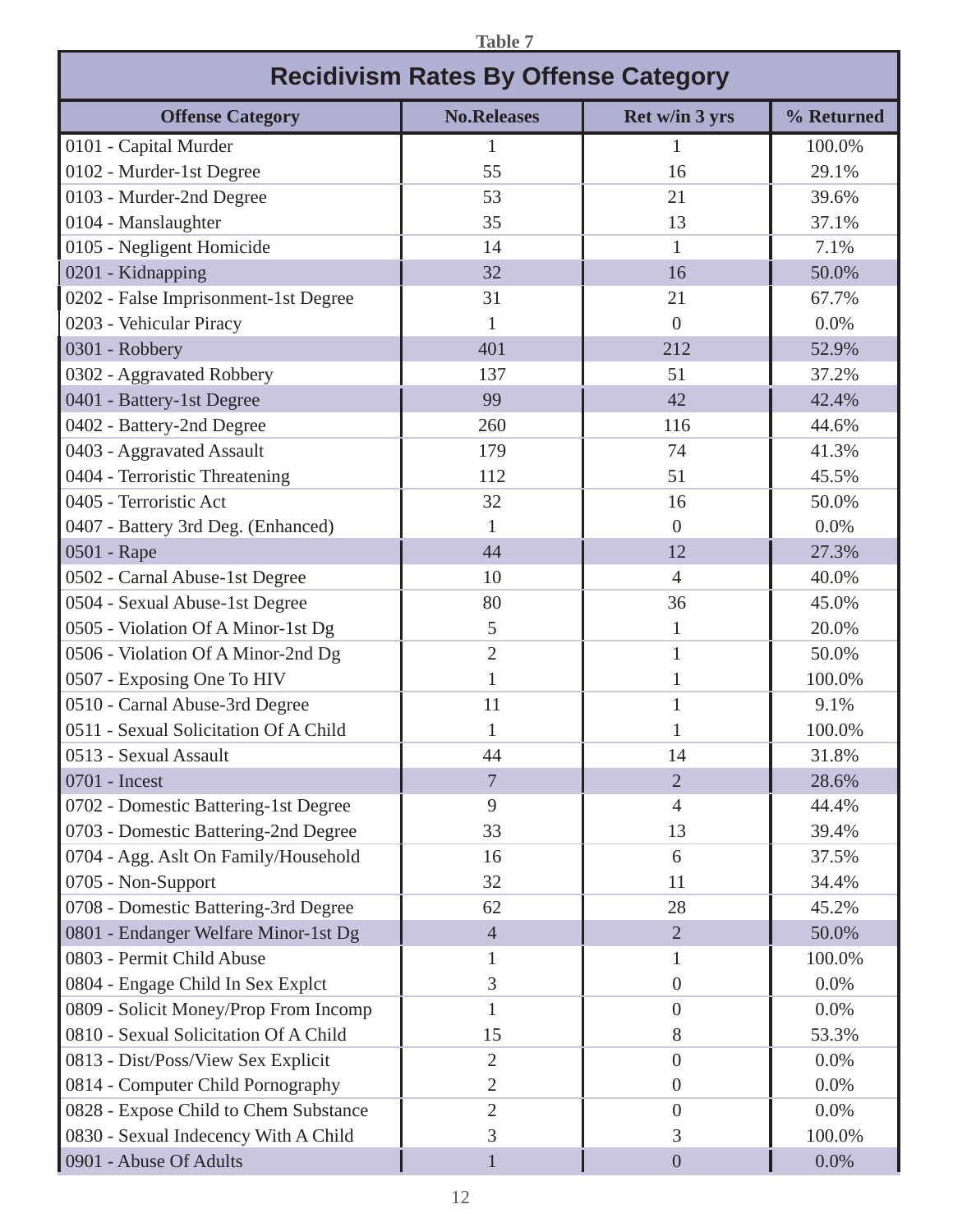| <b>Table 7</b>                              |                    |                |            |  |  |  |  |  |  |
|---------------------------------------------|--------------------|----------------|------------|--|--|--|--|--|--|
| <b>Recidivism Rates By Offense Category</b> |                    |                |            |  |  |  |  |  |  |
| <b>Offense Category</b>                     | <b>No.Releases</b> | Ret w/in 3 yrs | % Returned |  |  |  |  |  |  |
| 0101 - Capital Murder                       | 1                  |                | 100.0%     |  |  |  |  |  |  |
| 0102 - Murder-1st Degree                    | 55                 | 16             | 29.1%      |  |  |  |  |  |  |
| 0103 - Murder-2nd Degree                    | 53                 | 21             | 39.6%      |  |  |  |  |  |  |
| 0104 - Manslaughter                         | 35                 | 13             | 37.1%      |  |  |  |  |  |  |
| 0105 - Negligent Homicide                   | 14                 | 1              | 7.1%       |  |  |  |  |  |  |
| 0201 - Kidnapping                           | 32                 | 16             | 50.0%      |  |  |  |  |  |  |
| 0202 - False Imprisonment-1st Degree        | 31                 | 21             | 67.7%      |  |  |  |  |  |  |
| 0203 - Vehicular Piracy                     |                    | $\Omega$       | 0.0%       |  |  |  |  |  |  |
| 0301 - Robbery                              | 401                | 212            | 52.9%      |  |  |  |  |  |  |
| 0302 - Aggravated Robbery                   | 137                | 51             | 37.2%      |  |  |  |  |  |  |
| 0401 - Battery-1st Degree                   | 99                 | 42             | 42.4%      |  |  |  |  |  |  |
| 0402 - Battery-2nd Degree                   | 260                | 116            | 44.6%      |  |  |  |  |  |  |
| 0403 - Aggravated Assault                   | 179                | 74             | 41.3%      |  |  |  |  |  |  |
| 0404 - Terroristic Threatening              | 112                | 51             | 45.5%      |  |  |  |  |  |  |
| 0405 - Terroristic Act                      | 32                 | 16             | 50.0%      |  |  |  |  |  |  |
| 0407 - Battery 3rd Deg. (Enhanced)          | 1                  | $\Omega$       | 0.0%       |  |  |  |  |  |  |
| 0501 - Rape                                 | 44                 | 12             | 27.3%      |  |  |  |  |  |  |
| 0502 - Carnal Abuse-1st Degree              | 10                 | $\overline{4}$ | 40.0%      |  |  |  |  |  |  |
| 0504 - Sexual Abuse-1st Degree              | 80                 | 36             | 45.0%      |  |  |  |  |  |  |
| 0505 - Violation Of A Minor-1st Dg          | 5                  |                | 20.0%      |  |  |  |  |  |  |
| 0506 - Violation Of A Minor-2nd Dg          | $\overline{2}$     | 1              | 50.0%      |  |  |  |  |  |  |
| 0507 - Exposing One To HIV                  | 1                  |                | 100.0%     |  |  |  |  |  |  |
| 0510 - Carnal Abuse-3rd Degree              | 11                 |                | 9.1%       |  |  |  |  |  |  |
| 0511 - Sexual Solicitation Of A Child       | $\mathbf{1}$       | $\mathbf{1}$   | 100.0%     |  |  |  |  |  |  |
| 0513 - Sexual Assault                       | 44                 | 14             | 31.8%      |  |  |  |  |  |  |
| 0701 - Incest                               | $7\phantom{.0}$    | $\overline{2}$ | 28.6%      |  |  |  |  |  |  |
| 0702 - Domestic Battering-1st Degree        | 9                  | $\overline{4}$ | 44.4%      |  |  |  |  |  |  |
| 0703 - Domestic Battering-2nd Degree        | 33                 | 13             | 39.4%      |  |  |  |  |  |  |
| 0704 - Agg. Aslt On Family/Household        | 16                 | 6              | 37.5%      |  |  |  |  |  |  |
| 0705 - Non-Support                          | 32                 | 11             | 34.4%      |  |  |  |  |  |  |
| 0708 - Domestic Battering-3rd Degree        | 62                 | 28             | 45.2%      |  |  |  |  |  |  |
| 0801 - Endanger Welfare Minor-1st Dg        | $\overline{4}$     | $\overline{2}$ | 50.0%      |  |  |  |  |  |  |
| 0803 - Permit Child Abuse                   | 1                  |                | 100.0%     |  |  |  |  |  |  |
| 0804 - Engage Child In Sex Explct           | 3                  | $\overline{0}$ | 0.0%       |  |  |  |  |  |  |
| 0809 - Solicit Money/Prop From Incomp       | 1                  | $\overline{0}$ | 0.0%       |  |  |  |  |  |  |
| 0810 - Sexual Solicitation Of A Child       | 15                 | 8              | 53.3%      |  |  |  |  |  |  |
| 0813 - Dist/Poss/View Sex Explicit          | $\overline{2}$     | $\overline{0}$ | 0.0%       |  |  |  |  |  |  |
| 0814 - Computer Child Pornography           | 2                  | $\overline{0}$ | 0.0%       |  |  |  |  |  |  |
| 0828 - Expose Child to Chem Substance       | $\overline{2}$     | $\overline{0}$ | 0.0%       |  |  |  |  |  |  |
| 0830 - Sexual Indecency With A Child        | 3                  | 3              | 100.0%     |  |  |  |  |  |  |
| 0901 - Abuse Of Adults                      | 1                  | $\overline{0}$ | 0.0%       |  |  |  |  |  |  |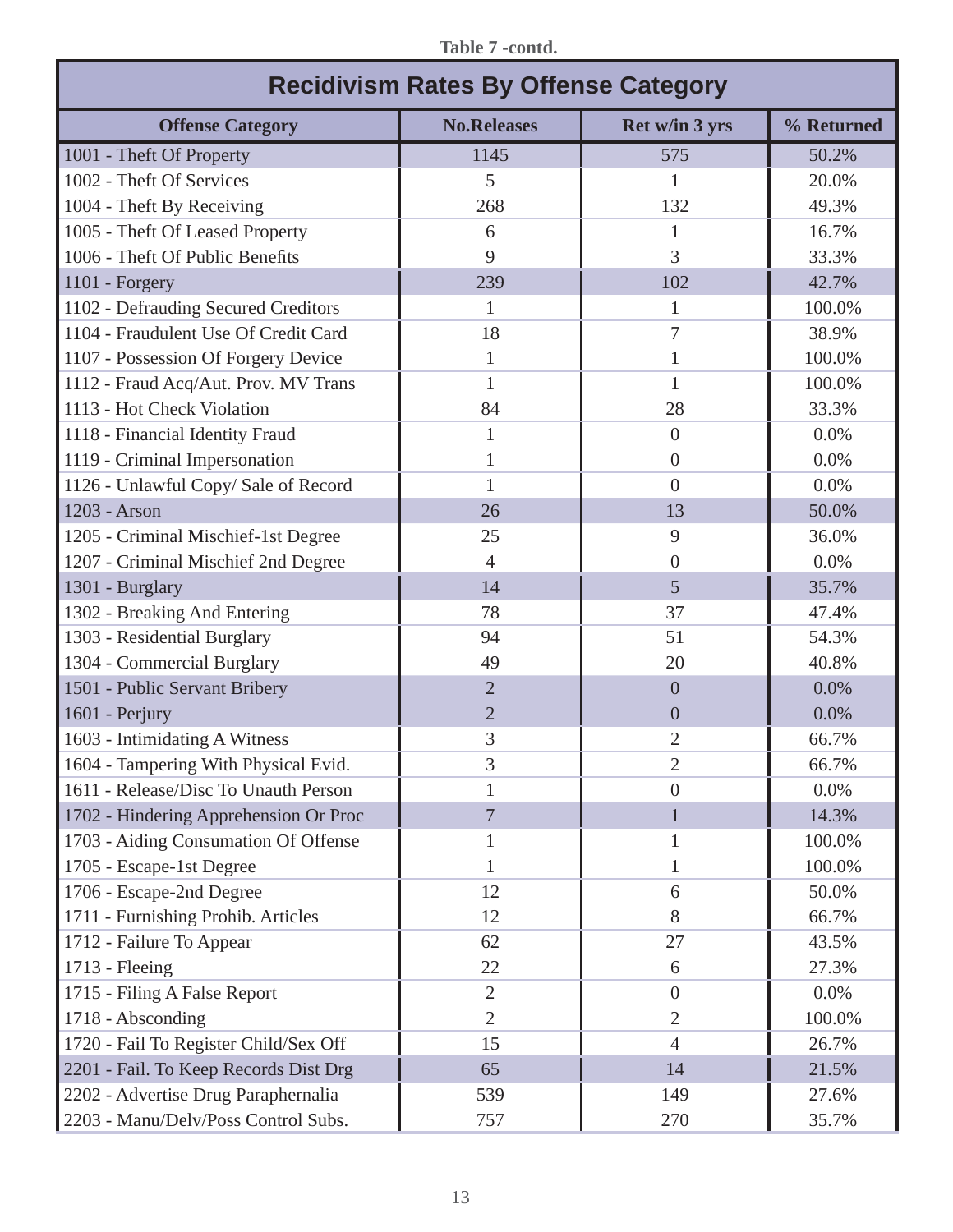| <b>Recidivism Rates By Offense Category</b> |                    |                |            |  |  |  |  |
|---------------------------------------------|--------------------|----------------|------------|--|--|--|--|
| <b>Offense Category</b>                     | <b>No.Releases</b> | Ret w/in 3 yrs | % Returned |  |  |  |  |
| 1001 - Theft Of Property                    | 1145               | 575            | 50.2%      |  |  |  |  |
| 1002 - Theft Of Services                    | 5                  | 1              | 20.0%      |  |  |  |  |
| 1004 - Theft By Receiving                   | 268                | 132            | 49.3%      |  |  |  |  |
| 1005 - Theft Of Leased Property             | 6                  | 1              | 16.7%      |  |  |  |  |
| 1006 - Theft Of Public Benefits             | 9                  | 3              | 33.3%      |  |  |  |  |
| 1101 - Forgery                              | 239                | 102            | 42.7%      |  |  |  |  |
| 1102 - Defrauding Secured Creditors         | 1                  | 1              | 100.0%     |  |  |  |  |
| 1104 - Fraudulent Use Of Credit Card        | 18                 | 7              | 38.9%      |  |  |  |  |
| 1107 - Possession Of Forgery Device         | $\mathbf{1}$       |                | 100.0%     |  |  |  |  |
| 1112 - Fraud Acq/Aut. Prov. MV Trans        | $\mathbf{1}$       | 1              | 100.0%     |  |  |  |  |
| 1113 - Hot Check Violation                  | 84                 | 28             | 33.3%      |  |  |  |  |
| 1118 - Financial Identity Fraud             | 1                  | $\overline{0}$ | 0.0%       |  |  |  |  |
| 1119 - Criminal Impersonation               | 1                  | $\theta$       | 0.0%       |  |  |  |  |
| 1126 - Unlawful Copy/Sale of Record         | 1                  | $\theta$       | 0.0%       |  |  |  |  |
| 1203 - Arson                                | 26                 | 13             | 50.0%      |  |  |  |  |
| 1205 - Criminal Mischief-1st Degree         | 25                 | 9              | 36.0%      |  |  |  |  |
| 1207 - Criminal Mischief 2nd Degree         | $\overline{4}$     | $\theta$       | 0.0%       |  |  |  |  |
| 1301 - Burglary                             | 14                 | 5              | 35.7%      |  |  |  |  |
| 1302 - Breaking And Entering                | 78                 | 37             | 47.4%      |  |  |  |  |
| 1303 - Residential Burglary                 | 94                 | 51             | 54.3%      |  |  |  |  |
| 1304 - Commercial Burglary                  | 49                 | 20             | 40.8%      |  |  |  |  |
| 1501 - Public Servant Bribery               | $\overline{2}$     | $\overline{0}$ | 0.0%       |  |  |  |  |
| 1601 - Perjury                              | $\overline{2}$     | $\overline{0}$ | 0.0%       |  |  |  |  |
| 1603 - Intimidating A Witness               | 3                  | $\overline{2}$ | 66.7%      |  |  |  |  |
| 1604 - Tampering With Physical Evid.        | 3                  | $\overline{2}$ | 66.7%      |  |  |  |  |
| 1611 - Release/Disc To Unauth Person        | 1                  | $\overline{0}$ | 0.0%       |  |  |  |  |
| 1702 - Hindering Apprehension Or Proc       | $\overline{7}$     |                | 14.3%      |  |  |  |  |
| 1703 - Aiding Consumation Of Offense        | 1                  |                | 100.0%     |  |  |  |  |
| 1705 - Escape-1st Degree                    |                    |                | 100.0%     |  |  |  |  |
| 1706 - Escape-2nd Degree                    | 12                 | 6              | 50.0%      |  |  |  |  |
| 1711 - Furnishing Prohib. Articles          | 12                 | 8              | 66.7%      |  |  |  |  |
| 1712 - Failure To Appear                    | 62                 | 27             | 43.5%      |  |  |  |  |
| 1713 - Fleeing                              | 22                 | 6              | 27.3%      |  |  |  |  |
| 1715 - Filing A False Report                | $\overline{2}$     | $\overline{0}$ | 0.0%       |  |  |  |  |
| 1718 - Absconding                           | $\overline{2}$     | $\overline{2}$ | 100.0%     |  |  |  |  |
| 1720 - Fail To Register Child/Sex Off       | 15                 | $\overline{4}$ | 26.7%      |  |  |  |  |
| 2201 - Fail. To Keep Records Dist Drg       | 65                 | 14             | 21.5%      |  |  |  |  |
| 2202 - Advertise Drug Paraphernalia         | 539                | 149            | 27.6%      |  |  |  |  |
| 2203 - Manu/Delv/Poss Control Subs.         | 757                | 270            | 35.7%      |  |  |  |  |

**Table 7 -contd.**